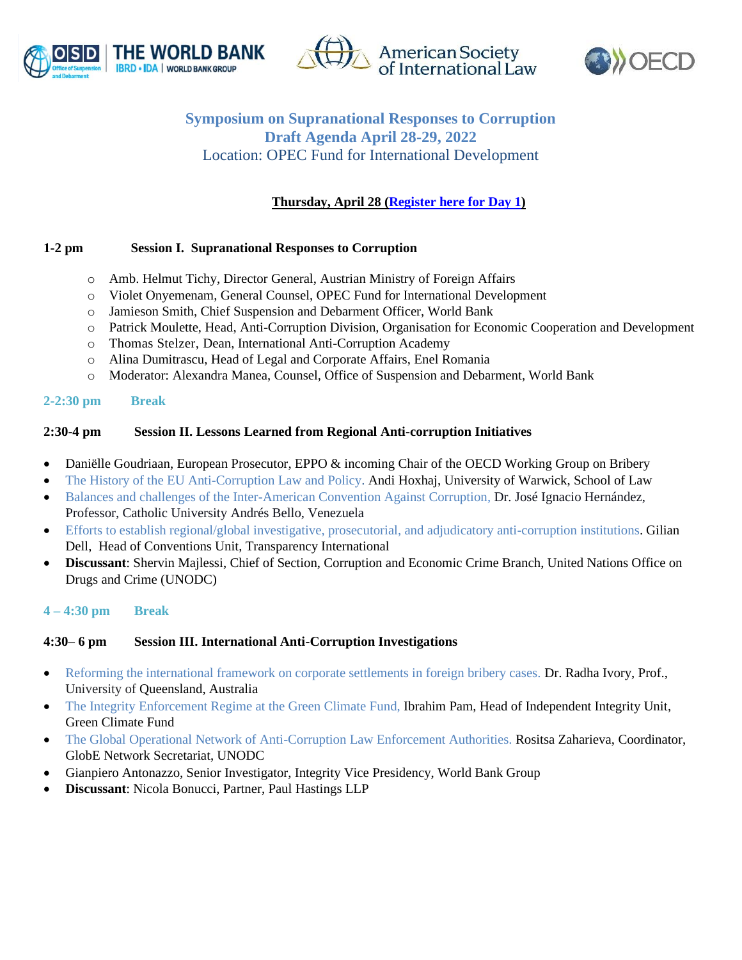





# **Symposium on Supranational Responses to Corruption Draft Agenda April 28-29, 2022** Location: OPEC Fund for International Development

 **Thursday, April 28 [\(Register here](https://worldbankgroup.webex.com/worldbankgroup/onstage/g.php?MTID=e9b0c6ad32a10cf37a19a0b8a1639b8ee) for Day 1)**

### **1-2 pm Session I. Supranational Responses to Corruption**

- o Amb. Helmut Tichy, Director General, Austrian Ministry of Foreign Affairs
- o Violet Onyemenam, General Counsel, OPEC Fund for International Development
- o Jamieson Smith, Chief Suspension and Debarment Officer, World Bank
- o Patrick Moulette, Head, Anti-Corruption Division, Organisation for Economic Cooperation and Development
- o Thomas Stelzer, Dean, International Anti-Corruption Academy
- o Alina Dumitrascu, Head of Legal and Corporate Affairs, Enel Romania
- o Moderator: Alexandra Manea, Counsel, Office of Suspension and Debarment, World Bank

#### **2-2:30 pm Break**

### **2:30-4 pm Session II. Lessons Learned from Regional Anti-corruption Initiatives**

- Daniëlle Goudriaan, European Prosecutor, EPPO & incoming Chair of the OECD Working Group on Bribery
- The History of the EU Anti-Corruption Law and Policy. Andi Hoxhaj, University of Warwick, School of Law
- Balances and challenges of the Inter-American Convention Against Corruption, Dr. José Ignacio Hernández, Professor, Catholic University Andrés Bello, Venezuela
- Efforts to establish regional/global investigative, prosecutorial, and adjudicatory anti-corruption institutions. Gilian Dell, Head of Conventions Unit, Transparency International
- **Discussant**: Shervin Majlessi, Chief of Section, Corruption and Economic Crime Branch, United Nations Office on Drugs and Crime (UNODC)

#### **4 – 4:30 pm Break**

# **4:30– 6 pm Session III. International Anti-Corruption Investigations**

- Reforming the international framework on corporate settlements in foreign bribery cases. Dr. Radha Ivory, Prof., University of Queensland, Australia
- The Integrity Enforcement Regime at the Green Climate Fund, Ibrahim Pam, Head of Independent Integrity Unit, Green Climate Fund
- The Global Operational Network of Anti-Corruption Law Enforcement Authorities. Rositsa Zaharieva, Coordinator, GlobE Network Secretariat, UNODC
- Gianpiero Antonazzo, Senior Investigator, Integrity Vice Presidency, World Bank Group
- **Discussant**: Nicola Bonucci, Partner, Paul Hastings LLP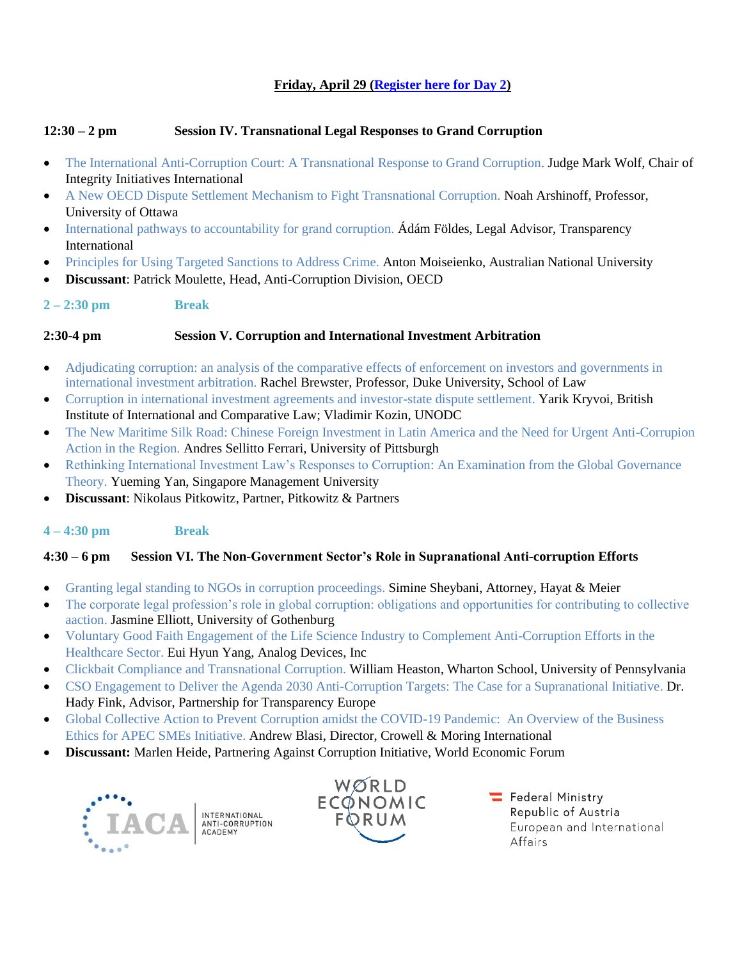# **Friday, April 29 [\(Register here](https://worldbankgroup.webex.com/worldbankgroup/onstage/g.php?MTID=ea6459c8fb391d074b493fdf872b0ef99) for Day 2)**

# **12:30 – 2 pm Session IV. Transnational Legal Responses to Grand Corruption**

- The International Anti-Corruption Court: A Transnational Response to Grand Corruption. Judge Mark Wolf, Chair of Integrity Initiatives International
- A New OECD Dispute Settlement Mechanism to Fight Transnational Corruption. Noah Arshinoff, Professor, University of Ottawa
- International pathways to accountability for grand corruption. Ádám Földes, Legal Advisor, Transparency International
- Principles for Using Targeted Sanctions to Address Crime. Anton Moiseienko, Australian National University
- **Discussant**: Patrick Moulette, Head, Anti-Corruption Division, OECD
- **2 – 2:30 pm Break**

### **2:30-4 pm Session V. Corruption and International Investment Arbitration**

- Adjudicating corruption: an analysis of the comparative effects of enforcement on investors and governments in international investment arbitration. Rachel Brewster, Professor, Duke University, School of Law
- Corruption in international investment agreements and investor-state dispute settlement. Yarik Kryvoi, British Institute of International and Comparative Law; Vladimir Kozin, UNODC
- The New Maritime Silk Road: Chinese Foreign Investment in Latin America and the Need for Urgent Anti-Corrupion Action in the Region. Andres Sellitto Ferrari, University of Pittsburgh
- Rethinking International Investment Law's Responses to Corruption: An Examination from the Global Governance Theory. Yueming Yan, Singapore Management University
- **Discussant**: Nikolaus Pitkowitz, Partner, Pitkowitz & Partners

# **4 – 4:30 pm Break**

# **4:30 – 6 pm Session VI. The Non-Government Sector's Role in Supranational Anti-corruption Efforts**

- Granting legal standing to NGOs in corruption proceedings. Simine Sheybani, Attorney, Hayat & Meier
- The corporate legal profession's role in global corruption: obligations and opportunities for contributing to collective aaction. Jasmine Elliott, University of Gothenburg
- Voluntary Good Faith Engagement of the Life Science Industry to Complement Anti-Corruption Efforts in the Healthcare Sector. Eui Hyun Yang, Analog Devices, Inc
- Clickbait Compliance and Transnational Corruption. William Heaston, Wharton School, University of Pennsylvania
- CSO Engagement to Deliver the Agenda 2030 Anti-Corruption Targets: The Case for a Supranational Initiative. Dr. Hady Fink, Advisor, Partnership for Transparency Europe
- Global Collective Action to Prevent Corruption amidst the COVID-19 Pandemic: An Overview of the Business Ethics for APEC SMEs Initiative. Andrew Blasi, Director, Crowell & Moring International
- **Discussant:** Marlen Heide, Partnering Against Corruption Initiative, World Economic Forum





Federal Ministry Republic of Austria European and International Affairs